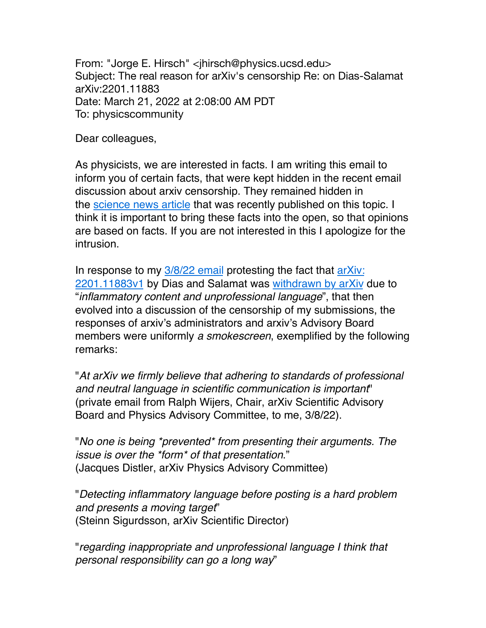From: "Jorge E. Hirsch" <jhirsch@physics.ucsd.edu> Subject: The real reason for arXiv's censorship Re: on Dias-Salamat arXiv:2201.11883 Date: March 21, 2022 at 2:08:00 AM PDT To: physicscommunity

Dear colleagues,

As physicists, we are interested in facts. I am writing this email to inform you of certain facts, that were kept hidden in the recent email discussion about arxiv censorship. They remained hidden in the [science news article](https://www.science.org/content/article/preprint-server-removes-inflammatory-papers-superconductor-controversy) that was recently published on this topic. I think it is important to bring these facts into the open, so that opinions are based on facts. If you are not interested in this I apologize for the intrusion.

In response to my [3/8/22 email](https://jorge.physics.ucsd.edu/arxiv/322email.txt) protesting the fact that [arXiv:](https://arxiv.org/abs/2201.11883v1) [2201.11883v1](https://arxiv.org/abs/2201.11883v1) by Dias and Salamat was [withdrawn by arXiv](https://arxiv.org/abs/2201.11883) due to "*inflammatory content and unprofessional language*", that then evolved into a discussion of the censorship of my submissions, the responses of arxiv's administrators and arxiv's Advisory Board members were uniformly *a smokescreen*, exemplified by the following remarks:

"*At arXiv we firmly believe that adhering to standards of professional and neutral language in scientific communication is important*" (private email from Ralph Wijers, Chair, arXiv Scientific Advisory Board and Physics Advisory Committee, to me, 3/8/22).

"*No one is being \*prevented\* from presenting their arguments. The issue is over the \*form\* of that presentation*." (Jacques Distler, arXiv Physics Advisory Committee)

"*Detecting inflammatory language before posting is a hard problem and presents a moving target*" (Steinn Sigurdsson, arXiv Scientific Director)

"*regarding inappropriate and unprofessional language I think that personal responsibility can go a long way*"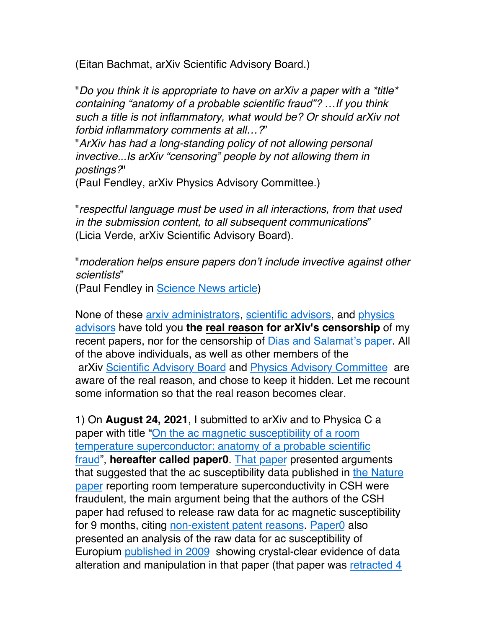(Eitan Bachmat, arXiv Scientific Advisory Board.)

"*Do you think it is appropriate to have on arXiv a paper with a \*title\* containing "anatomy of a probable scientific fraud"? …If you think such a title is not inflammatory, what would be? Or should arXiv not forbid inflammatory comments at all…?*"

"*ArXiv has had a long-standing policy of not allowing personal invective...Is arXiv "censoring" people by not allowing them in postings?*"

(Paul Fendley, arXiv Physics Advisory Committee.)

"*respectful language must be used in all interactions, from that used in the submission content, to all subsequent communications*" (Licia Verde, arXiv Scientific Advisory Board).

"*moderation helps ensure papers don't include invective against other scientists*"

(Paul Fendley in [Science News article\)](https://www.science.org/content/article/preprint-server-removes-inflammatory-papers-superconductor-controversy)

None of these [arxiv administrators,](https://arxiv.org/about/people/leadership_team) [scientific advisors](https://arxiv.org/about/people/scientific_ad_board), and [physics](https://arxiv.org/help/physics)  [advisors](https://arxiv.org/help/physics) have told you **the real reason for arXiv's censorship** of my recent papers, nor for the censorship of [Dias and Salamat's paper](https://arxiv.org/abs/2201.11883v1). All of the above individuals, as well as other members of the arXiv [Scientific Advisory Board](ttps://arxiv.org/about/people/scientific_ad_board) and [Physics Advisory Committee](https://arxiv.org/help/physics) are aware of the real reason, and chose to keep it hidden. Let me recount some information so that the real reason becomes clear.

1) On **August 24, 2021**, I submitted to arXiv and to Physica C a paper with title ["On the ac magnetic susceptibility of a room](https://www.sciencedirect.com/science/article/pii/S0921453421001477)  [temperature superconductor: anatomy of a probable scientific](https://www.sciencedirect.com/science/article/pii/S0921453421001477)  [fraud](https://www.sciencedirect.com/science/article/pii/S0921453421001477)", **hereafter called paper0**. [That paper](https://jorge.physics.ucsd.edu/abstracts/pre-proof.pdf) presented arguments that suggested that the ac susceptibility data published in [the Nature](https://www.nature.com/articles/s41586-020-2801-z)  [paper](https://www.nature.com/articles/s41586-020-2801-z) reporting room temperature superconductivity in CSH were fraudulent, the main argument being that the authors of the CSH paper had refused to release raw data for ac magnetic susceptibility for 9 months, citing [non-existent patent reasons](https://jorge.physics.ucsd.edu/abstracts/cshrawdata.html). [Paper0](https://jorge.physics.ucsd.edu/arxiv/paper0.pdf) also presented an analysis of the raw data for ac susceptibility of Europium [published in 2009](https://journals.aps.org/prl/abstract/10.1103/PhysRevLett.102.197002) showing crystal-clear evidence of data alteration and manipulation in that paper (that paper was [retracted 4](https://journals.aps.org/prl/abstract/10.1103/PhysRevLett.127.269902)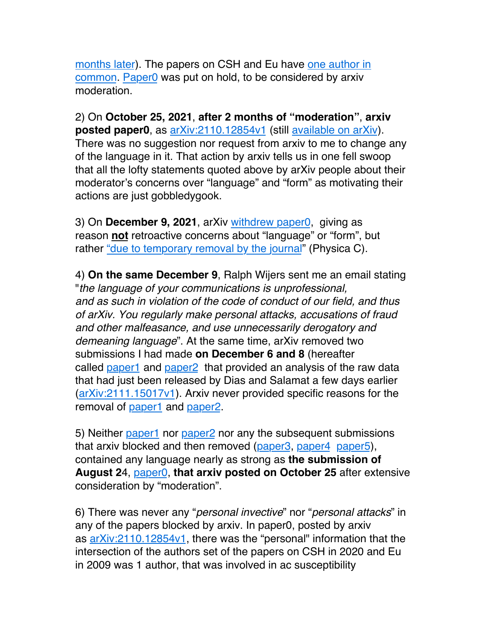[months later](https://journals.aps.org/prl/abstract/10.1103/PhysRevLett.127.269902)). The papers on CSH and Eu have [one author in](https://arxiv.org/abs/2012.07537v1)  [common](https://arxiv.org/abs/2012.07537v1). [Paper0](https://jorge.physics.ucsd.edu/arxiv/paper0.pdf) was put on hold, to be considered by arxiv moderation.

2) On **October 25, 2021**, **after 2 months of "moderation"**, **arxiv posted paper0**, as [arXiv:2110.12854v1](https://arxiv.org/abs/2110.12854v1) (still [available on arXiv\)](https://arxiv.org/pdf/2110.12854v1,pdf). There was no suggestion nor request from arxiv to me to change any of the language in it. That action by arxiv tells us in one fell swoop that all the lofty statements quoted above by arXiv people about their moderator's concerns over "language" and "form" as motivating their actions are just gobbledygook.

3) On **December 9, 2021**, arXiv [withdrew paper0,](https://arxiv.org/abs/2110.12854v2) giving as reason **not** retroactive concerns about "language" or "form", but rather "due to [temporary removal by the journal"](https://arxiv.org/abs/2110.12854v2) (Physica C).

4) **On the same December 9**, Ralph Wijers sent me an email stating "*the language of your communications is unprofessional, and as such in violation of the code of conduct of our field, and thus of arXiv. You regularly make personal attacks, accusations of fraud and other malfeasance, and use unnecessarily derogatory and demeaning language*". At the same time, arXiv removed two submissions I had made **on December 6 and 8** (hereafter called [paper1](https://jorge.physics.ucsd.edu/abstracts/arxivsubmit1.pdf) and [paper2](https://jorge.physics.ucsd.edu/abstracts/arxivsubmit2.pdf) that provided an analysis of the raw data that had just been released by Dias and Salamat a few days earlier [\(arXiv:2111.15017v1](https://arxiv.org/abs/2111.15017v1)). Arxiv never provided specific reasons for the removal of [paper1](https://jorge.physics.ucsd.edu/abstracts/arxivsubmit1.pdf) and [paper2](https://jorge.physics.ucsd.edu/abstracts/arxivsubmit2.pdf).

5) Neither [paper1](https://jorge.physics.ucsd.edu/abstracts/arxivsubmit1.pdf) nor [paper2](https://jorge.physics.ucsd.edu/abstracts/arxivsubmit2.pdf) nor any the subsequent submissions that arxiv blocked and then removed ([paper3](https://jorge.physics.ucsd.edu/abstracts/arxivsubmit3.pdf), [paper4](https://jorge.physics.ucsd.edu/abstracts/arxivsubmit4.pdf) [paper5\)](https://jorge.physics.ucsd.edu/abstracts/arxivsubmit5.pdf), contained any language nearly as strong as **the submission of August 2**4, [paper0](https://arxiv.org/pdf/2110.12854v1.pdf), **that arxiv posted on October 25** after extensive consideration by "moderation".

6) There was never any "*personal invective*" nor "*personal attacks*" in any of the papers blocked by arxiv. In paper0, posted by arxiv as [arXiv:2110.12854v1,](https://arxiv.org/abs/2110.12854v1) there was the "personal" information that the intersection of the authors set of the papers on CSH in 2020 and Eu in 2009 was 1 author, that was involved in ac susceptibility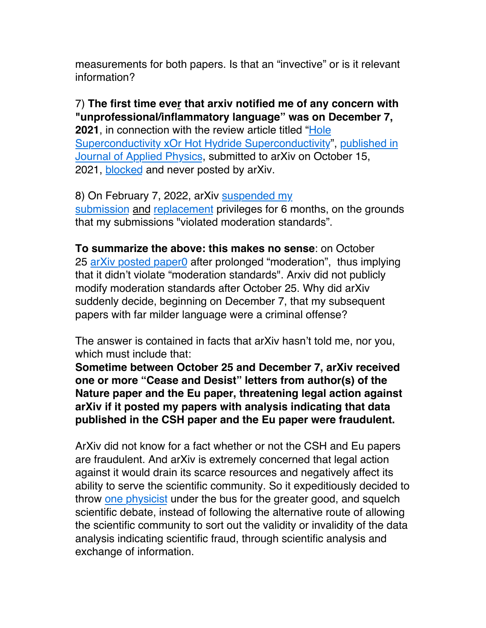measurements for both papers. Is that an "invective" or is it relevant information?

7) **The first time ever that arxiv notified me of any concern with "unprofessional/inflammatory language" was on December 7, 2021**, in connection with the review article titled ["Hole](https://jorge.physics.ucsd.edu/arxiv/xorsubmitted.pdf)  [Superconductivity xOr Hot Hydride](https://jorge.physics.ucsd.edu/arxiv/xorsubmitted.pdf) Superconductivity", [published in](https://aip.scitation.org/doi/10.1063/5.0071158)  [Journal of Applied Physics](https://aip.scitation.org/doi/10.1063/5.0071158), submitted to arXiv on October 15, 2021, [blocked](https://jorge.physics.ucsd.edu/arxiv/xoronhold.png) and never posted by arXiv.

8) On February 7, 2022, arXiv [suspended my](https://jorge.physics.ucsd.edu/arxiv/suspensionemail.txt)  [submission](https://jorge.physics.ucsd.edu/arxiv/suspensionemail.txt) and [replacement](https://jorge.physics.ucsd.edu/arxiv/replacementsemail.txt) privileges for 6 months, on the grounds that my submissions "violated moderation standards".

**To summarize the above: this makes no sense**: on October 25 [arXiv posted paper0](https://arxiv.org/abs/2110.12854v1) after prolonged "moderation", thus implying that it didn't violate "moderation standards". Arxiv did not publicly modify moderation standards after October 25. Why did arXiv suddenly decide, beginning on December 7, that my subsequent papers with far milder language were a criminal offense?

The answer is contained in facts that arXiv hasn't told me, nor you, which must include that:

**Sometime between October 25 and December 7, arXiv received one or more "Cease and Desist" letters from author(s) of the Nature paper and the Eu paper, threatening legal action against arXiv if it posted my papers with analysis indicating that data published in the CSH paper and the Eu paper were fraudulent.**

ArXiv did not know for a fact whether or not the CSH and Eu papers are fraudulent. And arXiv is extremely concerned that legal action against it would drain its scarce resources and negatively affect its ability to serve the scientific community. So it expeditiously decided to throw [one physicist](https://jorge.physics.ucsd.edu/jh.html) under the bus for the greater good, and squelch scientific debate, instead of following the alternative route of allowing the scientific community to sort out the validity or invalidity of the data analysis indicating scientific fraud, through scientific analysis and exchange of information.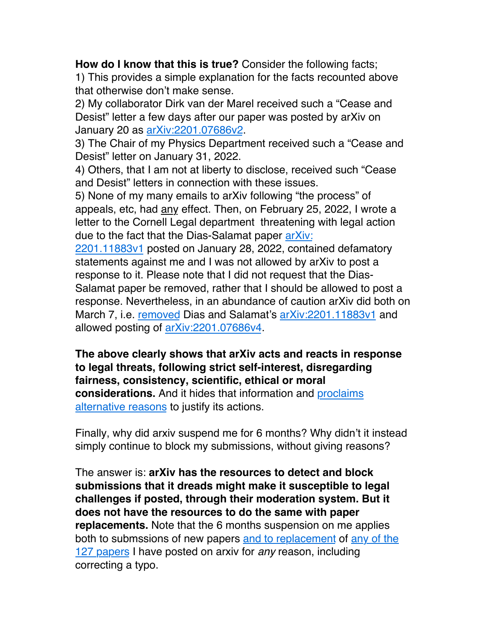**How do I know that this is true?** Consider the following facts; 1) This provides a simple explanation for the facts recounted above that otherwise don't make sense.

2) My collaborator Dirk van der Marel received such a "Cease and Desist" letter a few days after our paper was posted by arXiv on January 20 as [arXiv:2201.07686v2](https://arxiv.org/abs/2201.07686v2).

3) The Chair of my Physics Department received such a "Cease and Desist" letter on January 31, 2022.

4) Others, that I am not at liberty to disclose, received such "Cease and Desist" letters in connection with these issues.

5) None of my many emails to arXiv following "the process" of appeals, etc, had any effect. Then, on February 25, 2022, I wrote a letter to the Cornell Legal department threatening with legal action due to the fact that the Dias-Salamat paper [arXiv:](https://arxiv.org/abs/2201.11883v1)

[2201.11883v1](https://arxiv.org/abs/2201.11883v1) posted on January 28, 2022, contained defamatory statements against me and I was not allowed by arXiv to post a response to it. Please note that I did not request that the Dias-Salamat paper be removed, rather that I should be allowed to post a response. Nevertheless, in an abundance of caution arXiv did both on March 7, i.e. [removed](https://arxiv.org/abs/2201.11883) Dias and Salamat's arXiv: 2201.11883v1 and allowed posting of [arXiv:2201.07686v4.](https://arxiv.org/abs/2201.07686v4)

**The above clearly shows that arXiv acts and reacts in response to legal threats, following strict self-interest, disregarding fairness, consistency, scientific, ethical or moral considerations.** And it hides that information and [proclaims](https://www.science.org/content/article/preprint-server-removes-inflammatory-papers-superconductor-controversy)  [alternative reasons](https://www.science.org/content/article/preprint-server-removes-inflammatory-papers-superconductor-controversy) to justify its actions.

Finally, why did arxiv suspend me for 6 months? Why didn't it instead simply continue to block my submissions, without giving reasons?

The answer is: **arXiv has the resources to detect and block submissions that it dreads might make it susceptible to legal challenges if posted, through their moderation system. But it does not have the resources to do the same with paper replacements.** Note that the 6 months suspension on me applies both to submssions of new papers [and to replacement](https://jorge.physics.ucsd.edu/arxiv/replacementsemail.txt) of [any of the](https://arxiv.org/search/cond-mat?searchtype=author&query=Hirsch,+J+E)  [127 papers](https://arxiv.org/search/cond-mat?searchtype=author&query=Hirsch,+J+E) I have posted on arxiv for *any* reason, including correcting a typo.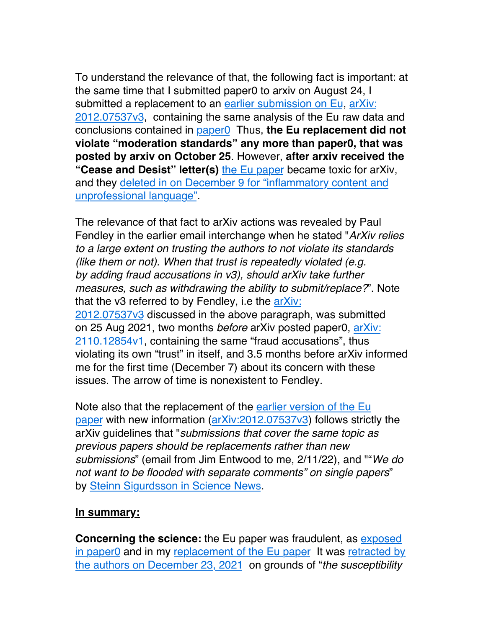To understand the relevance of that, the following fact is important: at the same time that I submitted paper0 to arxiv on August 24, I submitted a replacement to an [earlier submission on Eu,](https://arxiv.org/abs/2012.07537v2) [arXiv:](https://arxiv.org/abs/2012.07537v3) [2012.07537v3,](https://arxiv.org/abs/2012.07537v3) containing the same analysis of the Eu raw data and conclusions contained in [paper0](https://arxiv.org/pdf/2110.12854v1.pdf) Thus, **the Eu replacement did not violate "moderation standards" any more than paper0, that was posted by arxiv on October 25**. However, **after arxiv received the "Cease and Desist" letter(s)** [the Eu paper](https://arxiv.org/abs/2012.07537v3) became toxic for arXiv, and they [deleted in on December 9 for "inflammatory content and](https://arxiv.org/abs/2012.07537v4)  [unprofessional language".](https://arxiv.org/abs/2012.07537v4)

The relevance of that fact to arXiv actions was revealed by Paul Fendley in the earlier email interchange when he stated "*ArXiv relies to a large extent on trusting the authors to not violate its standards (like them or not). When that trust is repeatedly violated (e.g. by adding fraud accusations in v3), should arXiv take further measures, such as withdrawing the ability to submit/replace?*". Note that the v3 referred to by Fendley, i.e the [arXiv:](https://arxiv.org/abs/2012.07537v3) [2012.07537v3](https://arxiv.org/abs/2012.07537v3) discussed in the above paragraph, was submitted on 25 Aug 2021, two months *before* arXiv posted paper0, [arXiv:](https://arxiv.org/abs/2110.12854v1) [2110.12854v1,](https://arxiv.org/abs/2110.12854v1) containing the same "fraud accusations", thus violating its own "trust" in itself, and 3.5 months before arXiv informed me for the first time (December 7) about its concern with these issues. The arrow of time is nonexistent to Fendley.

Note also that the replacement of the [earlier version of the Eu](https://arxiv.org/abs/2012.07537v2)  [paper](https://arxiv.org/abs/2012.07537v2) with new information ([arXiv:2012.07537v3](https://arxiv.org/abs/2012.07537v3)) follows strictly the arXiv guidelines that "*submissions that cover the same topic as previous papers should be replacements rather than new submissions*" (email from Jim Entwood to me, 2/11/22), and ""*We do not want to be flooded with separate comments" on single papers*" by [Steinn Sigurdsson in Science News](https://www.science.org/content/article/preprint-server-removes-inflammatory-papers-superconductor-controversy).

## **In summary:**

**Concerning the science:** the Eu paper was fraudulent, as **exposed** [in paper0](https://arxiv.org/abs/2110.12854v1) and in my [replacement of the Eu paper](https://arxiv.org/abs/2012.07537v3) It was [retracted by](https://journals.aps.org/prl/abstract/10.1103/PhysRevLett.127.269902)  [the authors on December 23, 2021](https://journals.aps.org/prl/abstract/10.1103/PhysRevLett.127.269902) on grounds of "*the susceptibility*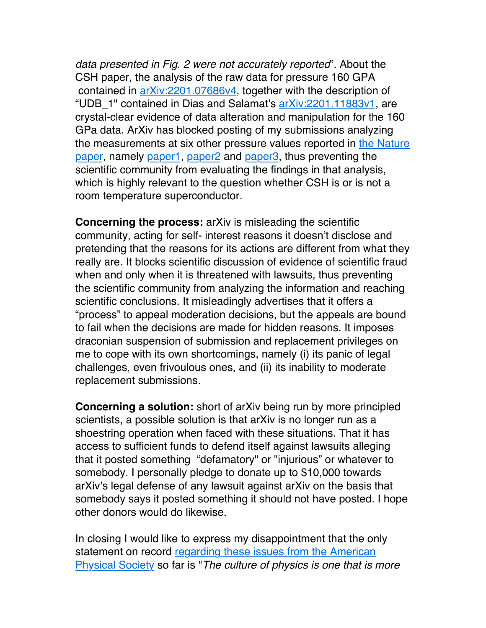*data presented in Fig. 2 were not accurately reported*". About the CSH paper, the analysis of the raw data for pressure 160 GPA contained in [arXiv:2201.07686v4](https://arxiv.org/abs/2201.07686v4), together with the description of "UDB\_1" contained in Dias and Salamat's [arXiv:2201.11883v1](https://arxiv.org/abs/2201.11883v1), are crystal-clear evidence of data alteration and manipulation for the 160 GPa data. ArXiv has blocked posting of my submissions analyzing the measurements at six other pressure values reported in [the Nature](https://www.nature.com/articles/s41586-020-2801-z)  [paper,](https://www.nature.com/articles/s41586-020-2801-z) namely [paper1](https://jorge.physics.ucsd.edu/abstracts/arxivsubmit1.pdf), [paper2](https://jorge.physics.ucsd.edu/abstracts/arxivsubmit2.pdf) and [paper3](https://jorge.physics.ucsd.edu/abstracts/arxivsubmit3.pdf), thus preventing the scientific community from evaluating the findings in that analysis, which is highly relevant to the question whether CSH is or is not a room temperature superconductor.

**Concerning the process:** arXiv is misleading the scientific community, acting for self- interest reasons it doesn't disclose and pretending that the reasons for its actions are different from what they really are. It blocks scientific discussion of evidence of scientific fraud when and only when it is threatened with lawsuits, thus preventing the scientific community from analyzing the information and reaching scientific conclusions. It misleadingly advertises that it offers a "process" to appeal moderation decisions, but the appeals are bound to fail when the decisions are made for hidden reasons. It imposes draconian suspension of submission and replacement privileges on me to cope with its own shortcomings, namely (i) its panic of legal challenges, even frivoulous ones, and (ii) its inability to moderate replacement submissions.

**Concerning a solution:** short of arXiv being run by more principled scientists, a possible solution is that arXiv is no longer run as a shoestring operation when faced with these situations. That it has access to sufficient funds to defend itself against lawsuits alleging that it posted something "defamatory" or "injurious" or whatever to somebody. I personally pledge to donate up to \$10,000 towards arXiv's legal defense of any lawsuit against arXiv on the basis that somebody says it posted something it should not have posted. I hope other donors would do likewise.

In closing I would like to express my disappointment that the only statement on record [regarding these issues from the American](https://www.science.org/content/article/preprint-server-removes-inflammatory-papers-superconductor-controversy)  [Physical Society](https://www.science.org/content/article/preprint-server-removes-inflammatory-papers-superconductor-controversy) so far is "*The culture of physics is one that is more*